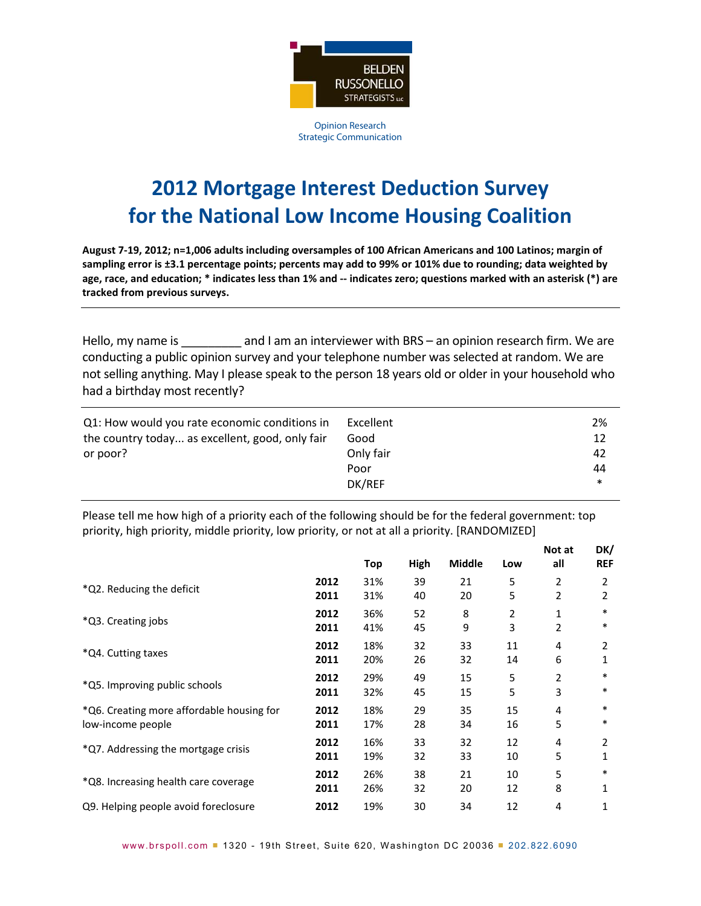

Opinion Research Strategic Communication

## **2012 Mortgage Interest Deduction Survey for the National Low Income Housing Coalition**

August 7-19, 2012; n=1,006 adults including oversamples of 100 African Americans and 100 Latinos; margin of sampling error is ±3.1 percentage points; percents may add to 99% or 101% due to rounding; data weighted by age, race, and education; \* indicates less than 1% and -- indicates zero; questions marked with an asterisk (\*) are **tracked from previous surveys.**

Hello, my name is **Example 2** and I am an interviewer with BRS – an opinion research firm. We are conducting a public opinion survey and your telephone number was selected at random. We are not selling anything. May I please speak to the person 18 years old or older in your household who had a birthday most recently?

| the country today as excellent, good, only fair<br>12<br>Good<br>Only fair<br>or poor?<br>42<br>44<br>Poor<br>DK/REF<br>$\ast$ | Q1: How would you rate economic conditions in | Excellent | 2% |
|--------------------------------------------------------------------------------------------------------------------------------|-----------------------------------------------|-----------|----|
|--------------------------------------------------------------------------------------------------------------------------------|-----------------------------------------------|-----------|----|

Please tell me how high of a priority each of the following should be for the federal government: top priority, high priority, middle priority, low priority, or not at all a priority. [RANDOMIZED]

**DK/**

|                                           |      | Top | High | <b>Middle</b> | Low | Not at<br>all | DK/<br><b>REF</b> |
|-------------------------------------------|------|-----|------|---------------|-----|---------------|-------------------|
| *Q2. Reducing the deficit                 | 2012 | 31% | 39   | 21            | 5   | 2             | 2                 |
|                                           | 2011 | 31% | 40   | 20            | 5   | 2             | 2                 |
| *Q3. Creating jobs                        | 2012 | 36% | 52   | 8             | 2   | 1             | $\ast$            |
|                                           | 2011 | 41% | 45   | 9             | 3   | 2             | $\ast$            |
|                                           | 2012 | 18% | 32   | 33            | 11  | 4             | 2                 |
| *Q4. Cutting taxes                        | 2011 | 20% | 26   | 32            | 14  | 6             | 1                 |
|                                           | 2012 | 29% | 49   | 15            | 5   | 2             | $\ast$            |
| *Q5. Improving public schools             | 2011 | 32% | 45   | 15            | 5   | 3             | $\ast$            |
| *Q6. Creating more affordable housing for | 2012 | 18% | 29   | 35            | 15  | 4             | $\ast$            |
| low-income people                         | 2011 | 17% | 28   | 34            | 16  | 5             | *                 |
|                                           | 2012 | 16% | 33   | 32            | 12  | 4             | 2                 |
| *Q7. Addressing the mortgage crisis       | 2011 | 19% | 32   | 33            | 10  | 5             | 1                 |
|                                           | 2012 | 26% | 38   | 21            | 10  | 5             | $\ast$            |
| *Q8. Increasing health care coverage      | 2011 | 26% | 32   | 20            | 12  | 8             | 1                 |
| Q9. Helping people avoid foreclosure      | 2012 | 19% | 30   | 34            | 12  | 4             |                   |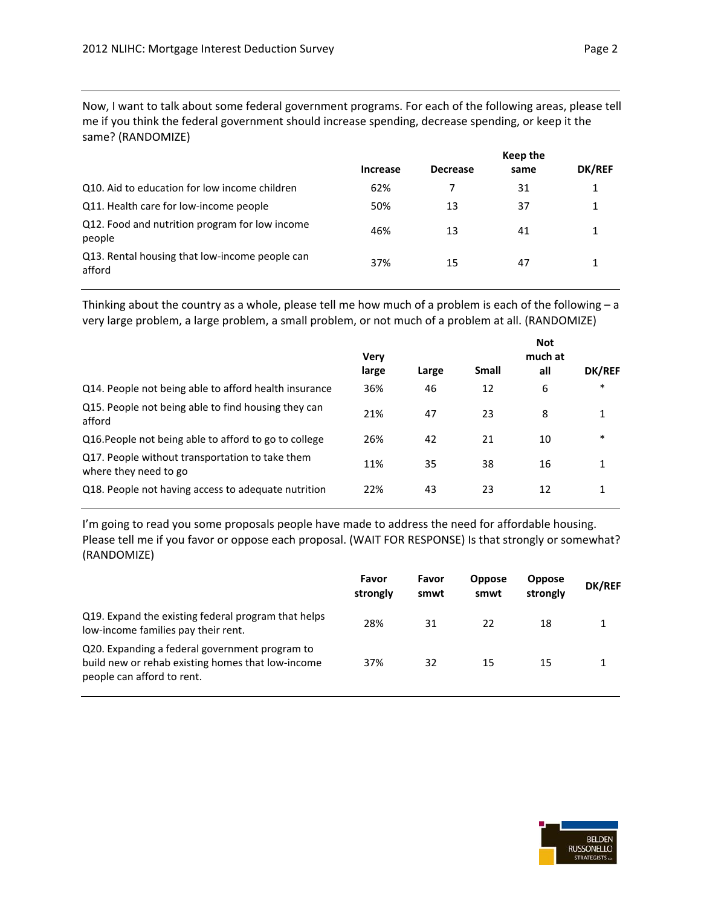Now, I want to talk about some federal government programs. For each of the following areas, please tell me if you think the federal government should increase spending, decrease spending, or keep it the same? (RANDOMIZE)

|                                                          | Keep the        |                 |      |        |  |
|----------------------------------------------------------|-----------------|-----------------|------|--------|--|
|                                                          | <b>Increase</b> | <b>Decrease</b> | same | DK/REF |  |
| Q10. Aid to education for low income children            | 62%             |                 | 31   | 1      |  |
| Q11. Health care for low-income people                   | 50%             | 13              | 37   | 1      |  |
| Q12. Food and nutrition program for low income<br>people | 46%             | 13              | 41   |        |  |
| Q13. Rental housing that low-income people can<br>afford | 37%             | 15              | 47   |        |  |

Thinking about the country as a whole, please tell me how much of a problem is each of the following – a very large problem, a large problem, a small problem, or not much of a problem at all. (RANDOMIZE)

|                                                                          | Very  |       |              | <b>Not</b><br>much at |        |
|--------------------------------------------------------------------------|-------|-------|--------------|-----------------------|--------|
|                                                                          | large | Large | <b>Small</b> | all                   | DK/REF |
| Q14. People not being able to afford health insurance                    | 36%   | 46    | 12           | 6                     | $\ast$ |
| Q15. People not being able to find housing they can<br>afford            | 21%   | 47    | 23           | 8                     | 1      |
| Q16. People not being able to afford to go to college                    | 26%   | 42    | 21           | 10                    | $\ast$ |
| Q17. People without transportation to take them<br>where they need to go | 11%   | 35    | 38           | 16                    | 1      |
| Q18. People not having access to adequate nutrition                      | 22%   | 43    | 23           | 12                    | 1      |
|                                                                          |       |       |              |                       |        |

I'm going to read you some proposals people have made to address the need for affordable housing. Please tell me if you favor or oppose each proposal. (WAIT FOR RESPONSE) Is that strongly or somewhat? (RANDOMIZE)

|                                                                                                                                   | Favor<br>strongly | Favor<br>smwt | <b>Oppose</b><br>smwt | <b>Oppose</b><br>strongly | <b>DK/REF</b> |
|-----------------------------------------------------------------------------------------------------------------------------------|-------------------|---------------|-----------------------|---------------------------|---------------|
| Q19. Expand the existing federal program that helps<br>low-income families pay their rent.                                        | 28%               | 31            | 22                    | 18                        |               |
| Q20. Expanding a federal government program to<br>build new or rehab existing homes that low-income<br>people can afford to rent. | 37%               | 32            | 15                    | 15                        |               |

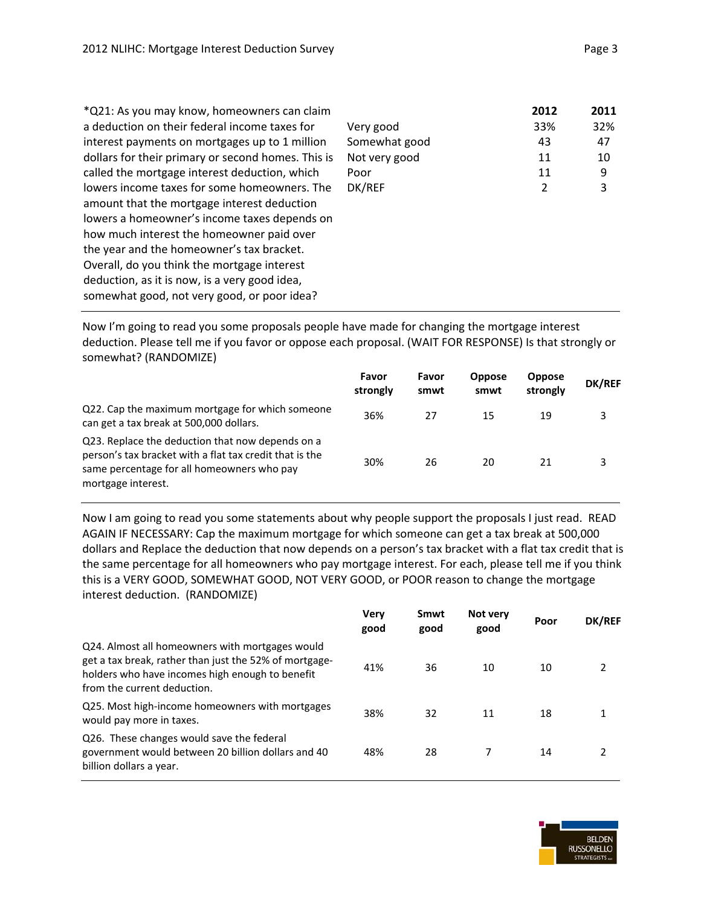\*Q21: As you may know, homeowners can claim a deduction on their federal income taxes for interest payments on mortgages up to 1 million dollars for their primary or second homes. This is called the mortgage interest deduction, which lowers income taxes for some homeowners. The amount that the mortgage interest deduction lowers a homeowner's income taxes depends on how much interest the homeowner paid over the year and the homeowner's tax bracket. Overall, do you think the mortgage interest deduction, as it is now, is a very good idea, somewhat good, not very good, or poor idea? Very good 33% 32% Somewhat good and 43 47 Not very good 11 10 Poor 11 9 DK/REF 2 3

Now I'm going to read you some proposals people have made for changing the mortgage interest deduction. Please tell me if you favor or oppose each proposal. (WAIT FOR RESPONSE) Is that strongly or somewhat? (RANDOMIZE)

|                                                                                                                                                                                 | Favor<br>strongly | Favor<br>smwt | <b>Oppose</b><br>smwt | <b>Oppose</b><br>strongly | <b>DK/REF</b> |
|---------------------------------------------------------------------------------------------------------------------------------------------------------------------------------|-------------------|---------------|-----------------------|---------------------------|---------------|
| Q22. Cap the maximum mortgage for which someone<br>can get a tax break at 500,000 dollars.                                                                                      | 36%               | 27            | 15                    | 19                        | 3             |
| Q23. Replace the deduction that now depends on a<br>person's tax bracket with a flat tax credit that is the<br>same percentage for all homeowners who pay<br>mortgage interest. | 30%               | 26            | 20                    | 21                        |               |

Now I am going to read you some statements about why people support the proposals I just read. READ AGAIN IF NECESSARY: Cap the maximum mortgage for which someone can get a tax break at 500,000 dollars and Replace the deduction that now depends on a person's tax bracket with a flat tax credit that is the same percentage for all homeowners who pay mortgage interest. For each, please tell me if you think this is a VERY GOOD, SOMEWHAT GOOD, NOT VERY GOOD, or POOR reason to change the mortgage interest deduction. (RANDOMIZE)

|                                                                                                                                                                                             | Very<br>good | Smwt<br>good | Not very<br>good | Poor | <b>DK/REF</b> |
|---------------------------------------------------------------------------------------------------------------------------------------------------------------------------------------------|--------------|--------------|------------------|------|---------------|
| Q24. Almost all homeowners with mortgages would<br>get a tax break, rather than just the 52% of mortgage-<br>holders who have incomes high enough to benefit<br>from the current deduction. | 41%          | 36           | 10               | 10   |               |
| Q25. Most high-income homeowners with mortgages<br>would pay more in taxes.                                                                                                                 | 38%          | 32           | 11               | 18   |               |
| Q26. These changes would save the federal<br>government would between 20 billion dollars and 40<br>billion dollars a year.                                                                  | 48%          | 28           |                  | 14   | 2             |

**2012 2011**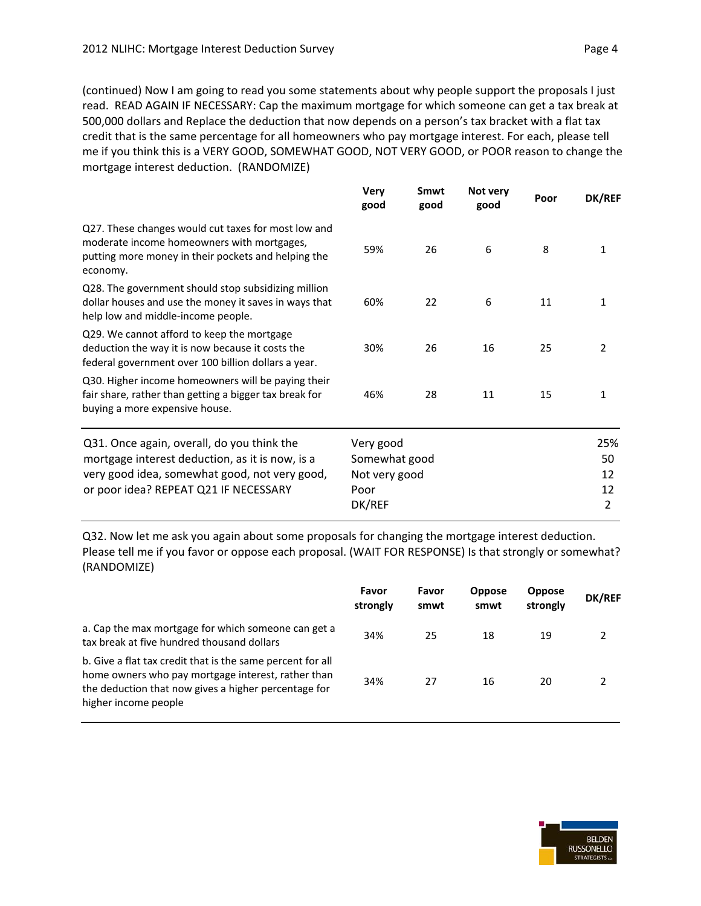(continued) Now I am going to read you some statements about why people support the proposals I just read. READ AGAIN IF NECESSARY: Cap the maximum mortgage for which someone can get a tax break at 500,000 dollars and Replace the deduction that now depends on a person's tax bracket with a flat tax credit that is the same percentage for all homeowners who pay mortgage interest. For each, please tell me if you think this is a VERY GOOD, SOMEWHAT GOOD, NOT VERY GOOD, or POOR reason to change the mortgage interest deduction. (RANDOMIZE)

|                                                                                                                                                                                         | <b>Very</b><br>good                                           | Smwt<br>good | Not very<br>good | Poor | <b>DK/REF</b>              |
|-----------------------------------------------------------------------------------------------------------------------------------------------------------------------------------------|---------------------------------------------------------------|--------------|------------------|------|----------------------------|
| Q27. These changes would cut taxes for most low and<br>moderate income homeowners with mortgages,<br>putting more money in their pockets and helping the<br>economy.                    | 59%                                                           | 26           | 6                | 8    | 1                          |
| Q28. The government should stop subsidizing million<br>dollar houses and use the money it saves in ways that<br>help low and middle-income people.                                      | 60%                                                           | 22           | 6                | 11   | 1                          |
| Q29. We cannot afford to keep the mortgage<br>deduction the way it is now because it costs the<br>federal government over 100 billion dollars a year.                                   | 30%                                                           | 26           | 16               | 25   | 2                          |
| Q30. Higher income homeowners will be paying their<br>fair share, rather than getting a bigger tax break for<br>buying a more expensive house.                                          | 46%                                                           | 28           | 11               | 15   | 1                          |
| Q31. Once again, overall, do you think the<br>mortgage interest deduction, as it is now, is a<br>very good idea, somewhat good, not very good,<br>or poor idea? REPEAT Q21 IF NECESSARY | Very good<br>Somewhat good<br>Not very good<br>Poor<br>DK/REF |              |                  |      | 25%<br>50<br>12<br>12<br>2 |

Q32. Now let me ask you again about some proposals for changing the mortgage interest deduction. Please tell me if you favor or oppose each proposal. (WAIT FOR RESPONSE) Is that strongly or somewhat? (RANDOMIZE)

|                                                                                                                                                                                                  | Favor<br>strongly | Favor<br>smwt | <b>Oppose</b><br>smwt | <b>Oppose</b><br>strongly | <b>DK/REF</b> |
|--------------------------------------------------------------------------------------------------------------------------------------------------------------------------------------------------|-------------------|---------------|-----------------------|---------------------------|---------------|
| a. Cap the max mortgage for which someone can get a<br>tax break at five hundred thousand dollars                                                                                                | 34%               | 25            | 18                    | 19                        |               |
| b. Give a flat tax credit that is the same percent for all<br>home owners who pay mortgage interest, rather than<br>the deduction that now gives a higher percentage for<br>higher income people | 34%               | 27            | 16                    | 20                        |               |



**BELDEN RUSSONELLO TRATEGISTS**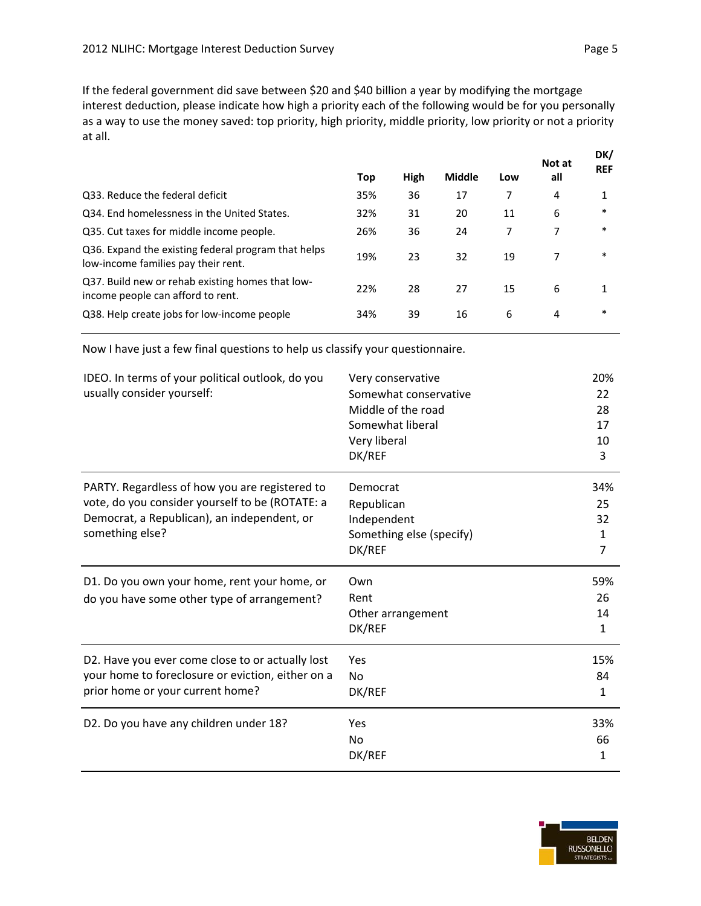If the federal government did save between \$20 and \$40 billion a year by modifying the mortgage interest deduction, please indicate how high a priority each of the following would be for you personally as a way to use the money saved: top priority, high priority, middle priority, low priority or not a priority at all.

|                                                                                            |     |      |               |     | Not at | DK/<br><b>REF</b> |
|--------------------------------------------------------------------------------------------|-----|------|---------------|-----|--------|-------------------|
|                                                                                            | Top | High | <b>Middle</b> | Low | all    |                   |
| Q33. Reduce the federal deficit                                                            | 35% | 36   | 17            | 7   | 4      |                   |
| Q34. End homelessness in the United States.                                                | 32% | 31   | 20            | 11  | 6      | $\ast$            |
| Q35. Cut taxes for middle income people.                                                   | 26% | 36   | 24            | 7   |        | $\ast$            |
| Q36. Expand the existing federal program that helps<br>low-income families pay their rent. | 19% | 23   | 32            | 19  |        | $\ast$            |
| Q37. Build new or rehab existing homes that low-<br>income people can afford to rent.      | 22% | 28   | 27            | 15  | 6      |                   |
| Q38. Help create jobs for low-income people                                                | 34% | 39   | 16            | 6   | 4      | $\ast$            |

Now I have just a few final questions to help us classify your questionnaire.

| IDEO. In terms of your political outlook, do you<br>usually consider yourself:                                                                                      | Very conservative<br>Somewhat conservative<br>Middle of the road<br>Somewhat liberal<br>Very liberal<br>DK/REF | 20%<br>22<br>28<br>17<br>10<br>3 |
|---------------------------------------------------------------------------------------------------------------------------------------------------------------------|----------------------------------------------------------------------------------------------------------------|----------------------------------|
| PARTY. Regardless of how you are registered to<br>vote, do you consider yourself to be (ROTATE: a<br>Democrat, a Republican), an independent, or<br>something else? | Democrat<br>Republican<br>Independent<br>Something else (specify)<br>DK/REF                                    | 34%<br>25<br>32<br>1<br>7        |
| D1. Do you own your home, rent your home, or<br>do you have some other type of arrangement?                                                                         | Own<br>Rent<br>Other arrangement<br>DK/REF                                                                     | 59%<br>26<br>14<br>$\mathbf{1}$  |
| D2. Have you ever come close to or actually lost<br>your home to foreclosure or eviction, either on a<br>prior home or your current home?                           | Yes<br><b>No</b><br>DK/REF                                                                                     | 15%<br>84<br>$\mathbf{1}$        |
| D2. Do you have any children under 18?                                                                                                                              | Yes<br><b>No</b><br>DK/REF                                                                                     | 33%<br>66<br>1                   |

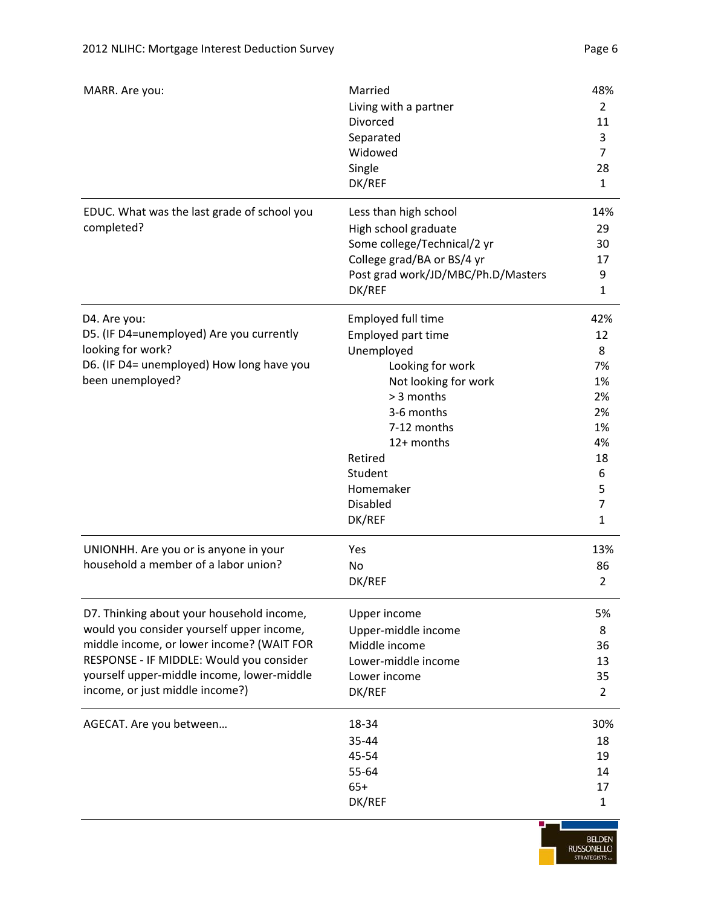| MARR. Are you:                              | Married                            | 48%            |
|---------------------------------------------|------------------------------------|----------------|
|                                             | Living with a partner              | $\overline{2}$ |
|                                             | Divorced                           | 11             |
|                                             | Separated                          | 3              |
|                                             | Widowed                            | $\overline{7}$ |
|                                             | Single                             | 28             |
|                                             | DK/REF                             | $\mathbf{1}$   |
| EDUC. What was the last grade of school you | Less than high school              | 14%            |
| completed?                                  | High school graduate               | 29             |
|                                             | Some college/Technical/2 yr        | 30             |
|                                             | College grad/BA or BS/4 yr         | 17             |
|                                             | Post grad work/JD/MBC/Ph.D/Masters | 9              |
|                                             | DK/REF                             | $\mathbf{1}$   |
| D4. Are you:                                | Employed full time                 | 42%            |
| D5. (IF D4=unemployed) Are you currently    | Employed part time                 | 12             |
| looking for work?                           | Unemployed                         | 8              |
| D6. (IF D4= unemployed) How long have you   | Looking for work                   | 7%             |
| been unemployed?                            | Not looking for work               | 1%             |
|                                             | > 3 months                         | 2%             |
|                                             | 3-6 months                         | 2%             |
|                                             | 7-12 months                        | 1%             |
|                                             | 12+ months                         | 4%             |
|                                             | Retired                            | 18             |
|                                             | Student                            | 6              |
|                                             | Homemaker                          | 5              |
|                                             | <b>Disabled</b>                    | 7              |
|                                             | DK/REF                             | $\mathbf 1$    |
| UNIONHH. Are you or is anyone in your       | Yes                                | 13%            |
| household a member of a labor union?        | <b>No</b>                          | 86             |
|                                             | DK/REF                             | 2              |
| D7. Thinking about your household income,   | Upper income                       | 5%             |
| would you consider yourself upper income,   | Upper-middle income                | 8              |
| middle income, or lower income? (WAIT FOR   | Middle income                      | 36             |
| RESPONSE - IF MIDDLE: Would you consider    | Lower-middle income                | 13             |
| yourself upper-middle income, lower-middle  | Lower income                       | 35             |
| income, or just middle income?)             | DK/REF                             | $\overline{2}$ |
| AGECAT. Are you between                     | 18-34                              | 30%            |
|                                             | 35-44                              | 18             |
|                                             | 45-54                              | 19             |
|                                             | 55-64                              | 14             |
|                                             | $65+$                              | 17             |
|                                             | DK/REF                             | $\mathbf{1}$   |
|                                             |                                    |                |